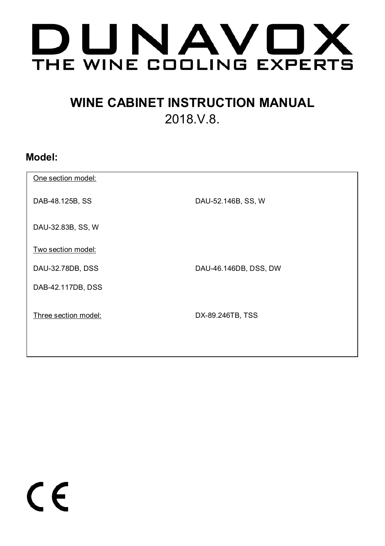

# **WINE CABINET INSTRUCTION MANUAL**  2018.V.8.

## **Model:**

| One section model:   |                       |
|----------------------|-----------------------|
| DAB-48.125B, SS      | DAU-52.146B, SS, W    |
| DAU-32.83B, SS, W    |                       |
| Two section model:   |                       |
| DAU-32.78DB, DSS     | DAU-46.146DB, DSS, DW |
| DAB-42.117DB, DSS    |                       |
| Three section model: | DX-89.246TB, TSS      |

 $\epsilon$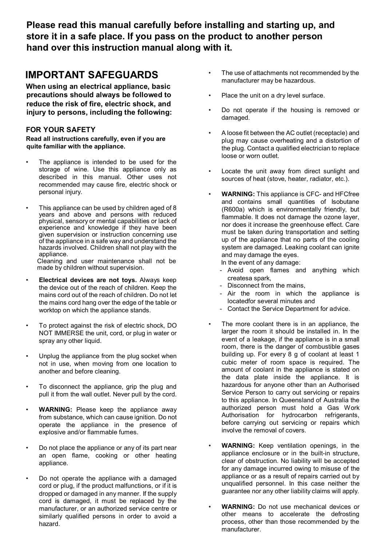**Please read this manual carefully before installing and starting up, and store it in a safe place. If you pass on the product to another person hand over this instruction manual along with it.** 

## **IMPORTANT SAFEGUARDS**

**When using an electrical appliance, basic precautions should always be followed to reduce the risk of fire, electric shock, and injury to persons, including the following:**

#### **FOR YOUR SAFETY**

**Read all instructions carefully, even if you are quite familiar with the appliance.**

- The appliance is intended to be used for the storage of wine. Use this appliance only as described in this manual. Other uses not recommended may cause fire, electric shock or personal injury.
- This appliance can be used by children aged of 8 years and above and persons with reduced physical, sensory or mental capabilities or lack of experience and knowledge if they have been given supervision or instruction concerning use of the appliance in a safe way and understand the hazards involved. Children shall not play with the appliance.

Cleaning and user maintenance shall not be made by children without supervision.

- **Electrical devices are not toys.** Always keep the device out of the reach of children. Keep the mains cord out of the reach of children. Do not let the mains cord hang over the edge of the table or worktop on which the appliance stands.
- To protect against the risk of electric shock, DO NOT IMMERSE the unit, cord, or plug in water or spray any other liquid.
- Unplug the appliance from the plug socket when not in use, when moving from one location to another and before cleaning.
- To disconnect the appliance, grip the plug and pull it from the wall outlet. Never pull by the cord.
- **WARNING:** Please keep the appliance away from substance, which can cause ignition. Do not operate the appliance in the presence of explosive and/or flammable fumes.
- Do not place the appliance or any of its part near an open flame, cooking or other heating appliance.
- Do not operate the appliance with a damaged cord or plug, if the product malfunctions, or if it is dropped or damaged in any manner. If the supply cord is damaged, it must be replaced by the manufacturer, or an authorized service centre or similarly qualified persons in order to avoid a hazard.
- The use of attachments not recommended by the manufacturer may be hazardous.
- Place the unit on a dry level surface.
- Do not operate if the housing is removed or damaged.
- A loose fit between the AC outlet (receptacle) and plug may cause overheating and a distortion of the plug. Contact a qualified electrician to replace loose or worn outlet.
- Locate the unit away from direct sunlight and sources of heat (stove, heater, radiator, etc.).
- **WARNING:** This appliance is CFC- and HFCfree and contains small quantities of Isobutane (R600a) which is environmentally friendly, but flammable. It does not damage the ozone layer, nor does it increase the greenhouse effect. Care must be taken during transportation and setting up of the appliance that no parts of the cooling system are damaged. Leaking coolant can ignite and may damage the eyes. In the event of any damage:
	- Avoid open flames and anything which createsa spark,
	- Disconnect from the mains,
	- Air the room in which the appliance is locatedfor several minutes and
	- Contact the Service Department for advice.
- The more coolant there is in an appliance, the larger the room it should be installed in. In the event of a leakage, if the appliance is in a small room, there is the danger of combustible gases building up. For every 8 g of coolant at least 1 cubic meter of room space is required. The amount of coolant in the appliance is stated on the data plate inside the appliance. It is hazardous for anyone other than an Authorised Service Person to carry out servicing or repairs to this appliance. In Queensland of Australia the authorized person must hold a Gas Work Authorisation for hydrocarbon refrigerants, before carrying out servicing or repairs which involve the removal of covers.
- **WARNING:** Keep ventilation openings, in the appliance enclosure or in the built-in structure clear of obstruction. No liability will be accepted for any damage incurred owing to misuse of the appliance or as a result of repairs carried out by unqualified personnel. In this case neither the guarantee nor any other liability claims will apply.
- **WARNING:** Do not use mechanical devices or other means to accelerate the defrosting process, other than those recommended by the manufacturer.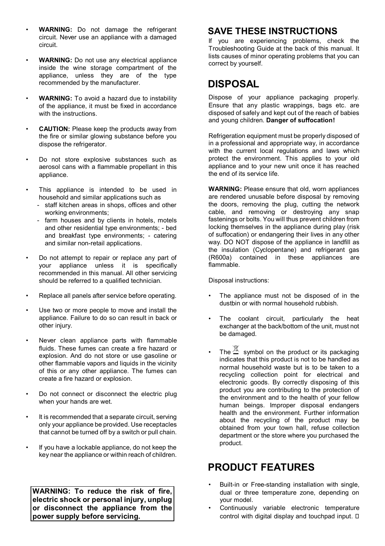- **WARNING:** Do not damage the refrigerant circuit. Never use an appliance with a damaged circuit.
- **WARNING:** Do not use any electrical appliance inside the wine storage compartment of the appliance, unless they are of the type recommended by the manufacturer.
- **WARNING:** To avoid a hazard due to instability of the appliance, it must be fixed in accordance with the instructions.
- **CAUTION:** Please keep the products away from the fire or similar glowing substance before you dispose the refrigerator.
- Do not store explosive substances such as aerosol cans with a flammable propellant in this appliance.
- This appliance is intended to be used in household and similar applications such as
	- staff kitchen areas in shops, offices and other working environments;
	- farm houses and by clients in hotels, motels and other residential type environments; - bed and breakfast type environments; - catering and similar non-retail applications.
- Do not attempt to repair or replace any part of your appliance unless it is specifically recommended in this manual. All other servicing should be referred to a qualified technician.
- Replace all panels after service before operating.
- Use two or more people to move and install the appliance. Failure to do so can result in back or other injury.
- Never clean appliance parts with flammable fluids. These fumes can create a fire hazard or explosion. And do not store or use gasoline or other flammable vapors and liquids in the vicinity of this or any other appliance. The fumes can create a fire hazard or explosion.
- Do not connect or disconnect the electric plug when your hands are wet.
- It is recommended that a separate circuit, serving only your appliance be provided. Use receptacles that cannot be turned off by a switch or pull chain.
- If you have a lockable appliance, do not keep the key near the appliance or within reach of children.

**WARNING: To reduce the risk of fire, electric shock or personal injury, unplug or disconnect the appliance from the power supply before servicing.**

## **SAVE THESE INSTRUCTIONS**

If you are experiencing problems, check the Troubleshooting Guide at the back of this manual. It lists causes of minor operating problems that you can correct by yourself.

## **DISPOSAL**

Dispose of your appliance packaging properly. Ensure that any plastic wrappings, bags etc. are disposed of safely and kept out of the reach of babies and young children. **Danger of suffocation!**

Refrigeration equipment must be properly disposed of in a professional and appropriate way, in accordance with the current local regulations and laws which protect the environment. This applies to your old appliance and to your new unit once it has reached the end of its service life.

**WARNING:** Please ensure that old, worn appliances are rendered unusable before disposal by removing the doors, removing the plug, cutting the network cable, and removing or destroying any snap fastenings or bolts. You will thus prevent children from locking themselves in the appliance during play (risk of suffocation) or endangering their lives in any other way. DO NOT dispose of the appliance in landfill as the insulation (Cyclopentane) and refrigerant gas (R600a) contained in these appliances are flammable.

Disposal instructions:

- The appliance must not be disposed of in the dustbin or with normal household rubbish.
- The coolant circuit, particularly the heat exchanger at the back/bottom of the unit, must not be damaged.
- The  $\mathbb{Z}$  symbol on the product or its packaging indicates that this product is not to be handled as normal household waste but is to be taken to a recycling collection point for electrical and electronic goods. By correctly disposing of this product you are contributing to the protection of the environment and to the health of your fellow human beings. Improper disposal endangers health and the environment. Further information about the recycling of the product may be obtained from your town hall, refuse collection department or the store where you purchased the product.

## **PRODUCT FEATURES**

- Built-in or Free-standing installation with single, dual or three temperature zone, depending on your model.
- Continuously variable electronic temperature control with digital display and touchpad input.  $\square$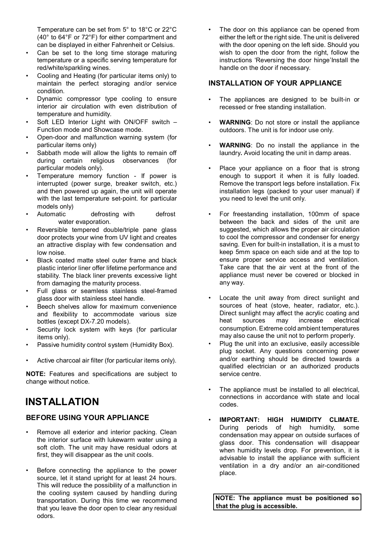Temperature can be set from 5° to 18°C or 22°C (40° to 64°F or 72°F) for either compartment and can be displayed in either Fahrenheit or Celsius.

- Can be set to the long time storage maturing temperature or a specific serving temperature for red/white/sparkling wines.
- Cooling and Heating (for particular items only) to maintain the perfect storaging and/or service condition.
- Dynamic compressor type cooling to ensure interior air circulation with even distribution of temperature and humidity.
- Soft LED Interior Light with ON/OFF switch Function mode and Showcase mode.
- Open-door and malfunction warning system (for particular items only)
- Sabbath mode will allow the lights to remain off during certain religious observances (for particular models only).
- Temperature memory function If power is interrupted (power surge, breaker switch, etc.) and then powered up again, the unit will operate with the last temperature set-point. for particular models only)<br>Automatic
- defrosting with defrost water evaporation.
- Reversible tempered double/triple pane glass door protects your wine from UV light and creates an attractive display with few condensation and low noise.
- Black coated matte steel outer frame and black plastic interior liner offer lifetime performance and stability. The black liner prevents excessive light from damaging the maturity process.
- Full glass or seamless stainless steel-framed glass door with stainless steel handle.
- Beech shelves allow for maximum convenience and flexibility to accommodate various size bottles (except DX-7.20 models).
- Security lock system with keys (for particular items only).
- Passive humidity control system (Humidity Box).
- Active charcoal air filter (for particular items only).

**NOTE:** Features and specifications are subject to change without notice.

## **INSTALLATION**

#### **BEFORE USING YOUR APPLIANCE**

- Remove all exterior and interior packing. Clean the interior surface with lukewarm water using a soft cloth. The unit may have residual odors at first, they will disappear as the unit cools.
- Before connecting the appliance to the power source, let it stand upright for at least 24 hours. This will reduce the possibility of a malfunction in the cooling system caused by handling during transportation. During this time we recommend that you leave the door open to clear any residual odors.

• The door on this appliance can be opened from either the left or the right side. The unit is delivered with the door opening on the left side. Should you wish to open the door from the right, follow the instructions 'Reversing the door hinge'Install the handle on the door if necessary.

#### **INSTALLATION OF YOUR APPLIANCE**

- The appliances are designed to be built-in or recessed or free standing installation.
- **WARNING:** Do not store or install the appliance outdoors. The unit is for indoor use only.
- **WARNING**: Do no install the appliance in the laundry**.** Avoid locating the unit in damp areas.
- Place your appliance on a floor that is strong enough to support it when it is fully loaded. Remove the transport legs before installation. Fix installation legs (packed to your user manual) if you need to level the unit only.
- For freestanding installation, 100mm of space between the back and sides of the unit are suggested, which allows the proper air circulation to cool the compressor and condenser for energy saving. Even for built-in installation, it is a must to keep 5mm space on each side and at the top to ensure proper service access and ventilation. Take care that the air vent at the front of the appliance must never be covered or blocked in any way.
- Locate the unit away from direct sunlight and sources of heat (stove, heater, radiator, etc.). Direct sunlight may affect the acrylic coating and<br>heat sources may increase electrical increase consumption. Extreme cold ambient temperatures may also cause the unit not to perform properly.
- Plug the unit into an exclusive, easily accessible plug socket. Any questions concerning power and/or earthing should be directed towards a qualified electrician or an authorized products service centre.
- The appliance must be installed to all electrical, connections in accordance with state and local codes.
- **IMPORTANT: HIGH HUMIDITY CLIMATE.**  During periods of high humidity, some condensation may appear on outside surfaces of glass door. This condensation will disappear when humidity levels drop. For prevention, it is advisable to install the appliance with sufficient ventilation in a dry and/or an air-conditioned place.

**NOTE: The appliance must be positioned so that the plug is accessible.**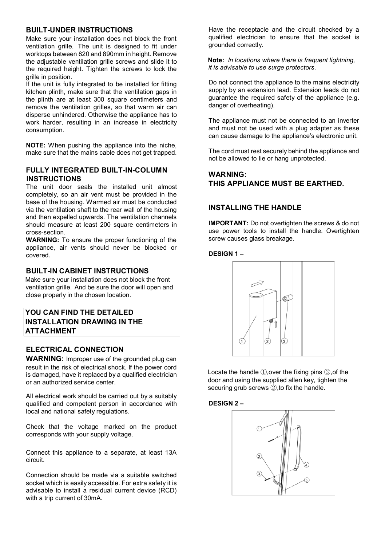#### **BUILT-UNDER INSTRUCTIONS**

Make sure your installation does not block the front ventilation grille. The unit is designed to fit under worktops between 820 and 890mm in height. Remove the adjustable ventilation grille screws and slide it to the required height. Tighten the screws to lock the grille in position.

If the unit is fully integrated to be installed for fitting kitchen plinth, make sure that the ventilation gaps in the plinth are at least 300 square centimeters and remove the ventilation grilles, so that warm air can disperse unhindered. Otherwise the appliance has to work harder, resulting in an increase in electricity consumption.

**NOTE:** When pushing the appliance into the niche, make sure that the mains cable does not get trapped.

#### **FULLY INTEGRATED BUILT-IN-COLUMN INSTRUCTIONS**

The unit door seals the installed unit almost completely, so an air vent must be provided in the base of the housing. Warmed air must be conducted via the ventilation shaft to the rear wall of the housing and then expelled upwards. The ventilation channels should measure at least 200 square centimeters in cross-section.

**WARNING:** To ensure the proper functioning of the appliance, air vents should never be blocked or covered.

## **BUILT-IN CABINET INSTRUCTIONS**

Make sure your installation does not block the front ventilation grille. And be sure the door will open and close properly in the chosen location.

### **YOU CAN FIND THE DETAILED INSTALLATION DRAWING IN THE ATTACHMENT**

#### **ELECTRICAL CONNECTION**

**WARNING:** Improper use of the grounded plug can result in the risk of electrical shock. If the power cord is damaged, have it replaced by a qualified electrician or an authorized service center.

All electrical work should be carried out by a suitably qualified and competent person in accordance with local and national safety regulations.

Check that the voltage marked on the product corresponds with your supply voltage.

Connect this appliance to a separate, at least 13A circuit.

Connection should be made via a suitable switched socket which is easily accessible. For extra safety it is advisable to install a residual current device (RCD) with a trip current of 30mA.

Have the receptacle and the circuit checked by a qualified electrician to ensure that the socket is grounded correctly.

**Note:** *In locations where there is frequent lightning, it is advisable to use surge protectors.*

Do not connect the appliance to the mains electricity supply by an extension lead. Extension leads do not guarantee the required safety of the appliance (e.g. danger of overheating).

The appliance must not be connected to an inverter and must not be used with a plug adapter as these can cause damage to the appliance's electronic unit.

The cord must rest securely behind the appliance and not be allowed to lie or hang unprotected.

## **WARNING: THIS APPLIANCE MUST BE EARTHED.**

#### **INSTALLING THE HANDLE**

**IMPORTANT:** Do not overtighten the screws & do not use power tools to install the handle. Overtighten screw causes glass breakage.

#### **DESIGN 1 –**



Locate the handle ①,over the fixing pins ③,of the door and using the supplied allen key, tighten the securing grub screws 2, to fix the handle.

#### **DESIGN 2 –**

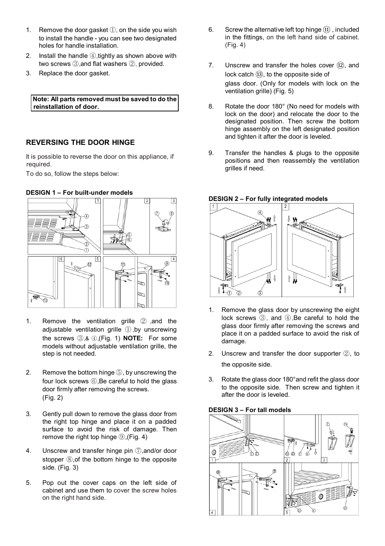- 1. Remove the door gasket ①, on the side you wish to install the handle - you can see two designated holes for handle installation.
- 2. Install the handle ④,tightly as shown above with two screws 3 and flat washers 2 provided
- 3. Replace the door gasket.

#### **Note: All parts removed must be saved to do the reinstallation of door.**

#### **REVERSING THE DOOR HINGE**

It is possible to reverse the door on this appliance, if required.

To do so, follow the steps below:

#### **DESIGN 1 – For built-under models**



- 1. Remove the ventilation grille ② ,and the adjustable ventilation grille ① ,by unscrewing the screws ③,& ④,(Fig. 1) **NOTE:** For some models without adjustable ventilation grille, the step is not needed.
- 2. Remove the bottom hinge ⑤, by unscrewing the four lock screws ⑥,Be careful to hold the glass door firmly after removing the screws. (Fig. 2)
- 3. Gently pull down to remove the glass door from the right top hinge and place it on a padded surface to avoid the risk of damage. Then remove the right top hinge ⑨,(Fig. 4)
- 4. Unscrew and transfer hinge pin ⑦,and/or door stopper **⑧**, of the bottom hinge to the opposite side. (Fig. 3)
- 5. Pop out the cover caps on the left side of cabinet and use them to cover the screw holes on the right hand side.
- 6. Screw the alternative left top hinge  $(1)$  included in the fittings, on the left hand side of cabinet. (Fig. 4)
- 7. Unscrew and transfer the holes cover  $(12)$ , and lock catch (B), to the opposite side of glass door. (Only for models with lock on the ventilation grille) (Fig. 5)
- 8. Rotate the door 180° (No need for models with lock on the door) and relocate the door to the designated position. Then screw the bottom hinge assembly on the left designated position and tighten it after the door is leveled.
- 9. Transfer the handles & plugs to the opposite positions and then reassembly the ventilation grilles if need.



#### **DESIGN 2 – For fully integrated models**

- 1. Remove the glass door by unscrewing the eight lock screws ③, and ④,Be careful to hold the glass door firmly after removing the screws and place it on a padded surface to avoid the risk of damage.
- 2. Unscrew and transfer the door supporter ②, to the opposite side.
- 3. Rotate the glass door 180°and refit the glass door to the opposite side. Then screw and tighten it after the door is leveled.

#### **DESIGN 3 – For tall models**

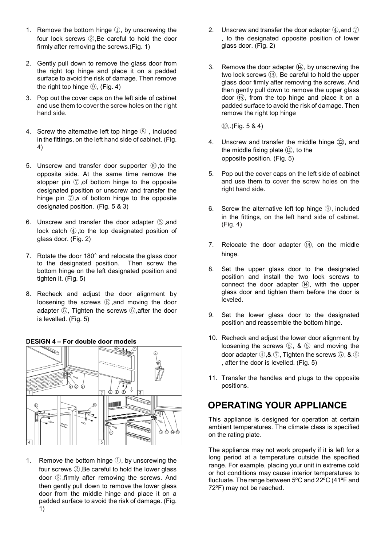- 1. Remove the bottom hinge ①, by unscrewing the four lock screws ②,Be careful to hold the door firmly after removing the screws.(Fig. 1)
- 2. Gently pull down to remove the glass door from the right top hinge and place it on a padded surface to avoid the risk of damage. Then remove the right top hinge **⑨**, (Fig. 4)
- 3. Pop out the cover caps on the left side of cabinet and use them to cover the screw holes on the right hand side.
- 4. Screw the alternative left top hinge ⑧ , included in the fittings, on the left hand side of cabinet. (Fig. 4)
- 5. Unscrew and transfer door supporter  $@$ , to the opposite side. At the same time remove the stopper pin ⑦,of bottom hinge to the opposite designated position or unscrew and transfer the hinge pin ⑦,a of bottom hinge to the opposite designated position. (Fig. 5 & 3)
- 6. Unscrew and transfer the door adapter (5) and lock catch ④,to the top designated position of glass door. (Fig. 2)
- 7. Rotate the door 180° and relocate the glass door to the designated position. Then screw the bottom hinge on the left designated position and tighten it. (Fig. 5)
- 8. Recheck and adjust the door alignment by loosening the screws ⑥ ,and moving the door adapter ⑤, Tighten the screws ⑥,after the door is levelled. (Fig. 5)



#### **DESIGN 4 – For double door models**

1. Remove the bottom hinge ①, by unscrewing the four screws ②,Be careful to hold the lower glass door ③,firmly after removing the screws. And then gently pull down to remove the lower glass door from the middle hinge and place it on a padded surface to avoid the risk of damage. (Fig. 1)

- 2. Unscrew and transfer the door adapter  $\mathcal{D}$ , and  $\mathcal{D}$ , to the designated opposite position of lower glass door. (Fig. 2)
- 3. Remove the door adapter  $(4)$ , by unscrewing the two lock screws ⑬, Be careful to hold the upper glass door firmly after removing the screws. And then gently pull down to remove the upper glass door ⑮, from the top hinge and place it on a padded surface to avoid the risk of damage. Then remove the right top hinge

⑩,.(Fig. 5 & 4)

- 4. Unscrew and transfer the middle hinge (12), and the middle fixing plate  $(1)$ , to the opposite position. (Fig. 5)
- 5. Pop out the cover caps on the left side of cabinet and use them to cover the screw holes on the right hand side.
- 6. Screw the alternative left top hinge ⑨, included in the fittings, on the left hand side of cabinet. (Fig. 4)
- 7. Relocate the door adapter  $(\widehat{A})$ , on the middle hinge.
- 8. Set the upper glass door to the designated position and install the two lock screws to connect the door adapter (14), with the upper glass door and tighten them before the door is leveled.
- 9. Set the lower glass door to the designated position and reassemble the bottom hinge.
- 10. Recheck and adjust the lower door alignment by loosening the screws ⑤, & ⑥ and moving the door adapter ④,& ⑦, Tighten the screws ⑤, & ⑥ , after the door is levelled. (Fig. 5)
- 11. Transfer the handles and plugs to the opposite positions.

## **OPERATING YOUR APPLIANCE**

This appliance is designed for operation at certain ambient temperatures. The climate class is specified on the rating plate.

The appliance may not work properly if it is left for a long period at a temperature outside the specified range. For example, placing your unit in extreme cold or hot conditions may cause interior temperatures to fluctuate. The range between 5ºC and 22ºC (41ºF and 72ºF) may not be reached.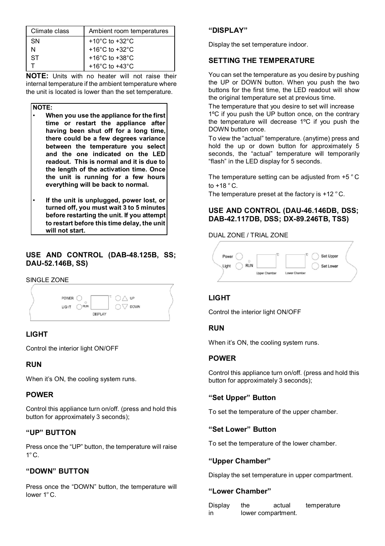| Climate class | Ambient room temperatures            |
|---------------|--------------------------------------|
| SN            | $+10^{\circ}$ C to $+32^{\circ}$ C   |
| N             | +16 $^{\circ}$ C to +32 $^{\circ}$ C |
| ST            | +16 $^{\circ}$ C to +38 $^{\circ}$ C |
|               | +16 $^{\circ}$ C to +43 $^{\circ}$ C |
|               |                                      |

**NOTE:** Units with no heater will not raise their internal temperature if the ambient temperature where the unit is located is lower than the set temperature.

**NOTE:**

- **When you use the appliance for the first time or restart the appliance after having been shut off for a long time, there could be a few degrees variance between the temperature you select and the one indicated on the LED readout. This is normal and it is due to the length of the activation time. Once the unit is running for a few hours everything will be back to normal.**
- **If the unit is unplugged, power lost, or turned off, you must wait 3 to 5 minutes before restarting the unit. If you attempt to restart before this time delay, the unit will not start.**

## **USE AND CONTROL (DAB-48.125B, SS; DAU-52.146B, SS)**

#### SINGLE ZONE



### **LIGHT**

Control the interior light ON/OFF

#### **RUN**

When it's ON, the cooling system runs.

#### **POWER**

Control this appliance turn on/off. (press and hold this button for approximately 3 seconds);

#### **"UP" BUTTON**

Press once the "UP" button, the temperature will raise  $1^\circ$  C.

### **"DOWN" BUTTON**

Press once the "DOWN" button, the temperature will lower 1ºC.

#### **"DISPLAY"**

Display the set temperature indoor.

#### **SETTING THE TEMPERATURE**

You can set the temperature as you desire by pushing the UP or DOWN button. When you push the two buttons for the first time, the LED readout will show the original temperature set at previous time.

The temperature that you desire to set will increase 1ºC if you push the UP button once, on the contrary the temperature will decrease 1ºC if you push the DOWN button once.

To view the "actual" temperature. (anytime) press and hold the up or down button for approximately 5 seconds, the "actual" temperature will temporarily "flash" in the LED display for 5 seconds.

The temperature setting can be adjusted from +5 ºC to  $+18 °C$ .

The temperature preset at the factory is +12 °C.

#### **USE AND CONTROL (DAU-46.146DB, DSS; DAB-42.117DB, DSS; DX-89.246TB, TSS)**

#### DUAL ZONE / TRIAL ZONE



### **LIGHT**

Control the interior light ON/OFF

#### **RUN**

When it's ON, the cooling system runs.

#### **POWER**

Control this appliance turn on/off. (press and hold this button for approximately 3 seconds);

#### **"Set Upper" Button**

To set the temperature of the upper chamber.

#### **"Set Lower" Button**

To set the temperature of the lower chamber.

#### **"Upper Chamber"**

Display the set temperature in upper compartment.

#### **"Lower Chamber"**

| Display | the                | actual | temperature |
|---------|--------------------|--------|-------------|
| in      | lower compartment. |        |             |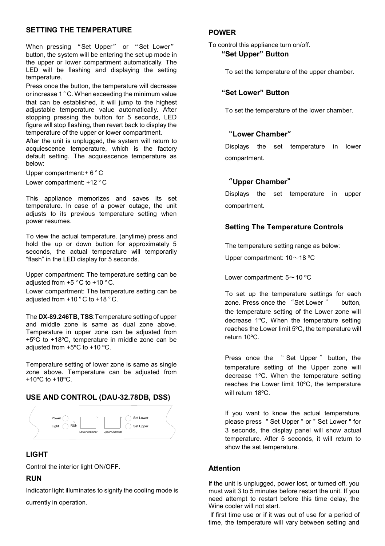#### **SETTING THE TEMPERATURE**

When pressing "Set Upper" or "Set Lower" button, the system will be entering the set up mode in the upper or lower compartment automatically. The LED will be flashing and displaying the setting temperature.

Press once the button, the temperature will decrease or increase 1 ºC. When exceeding the minimum value that can be established, it will jump to the highest adjustable temperature value automatically. After stopping pressing the button for 5 seconds, LED figure will stop flashing, then revert back to display the temperature of the upper or lower compartment.

After the unit is unplugged, the system will return to acquiescence temperature, which is the factory default setting. The acquiescence temperature as below:

Upper compartment:+ 6 °C Lower compartment: +12 °C

This appliance memorizes and saves its set temperature. In case of a power outage, the unit adjusts to its previous temperature setting when power resumes.

To view the actual temperature. (anytime) press and hold the up or down button for approximately 5 seconds, the actual temperature will temporarily "flash" in the LED display for 5 seconds.

Upper compartment: The temperature setting can be adjusted from  $+5$   $^{\circ}$  C to  $+10$   $^{\circ}$  C.

Lower compartment: The temperature setting can be adjusted from  $+10 °C$  to  $+18 °C$ .

The **DX-89.246TB, TSS**:Temperature setting of upper and middle zone is same as dual zone above. Temperature in upper zone can be adjusted from +5ºC to +18ºC, temperature in middle zone can be adjusted from +5ºC to +10 ºC.

Temperature setting of lower zone is same as single zone above. Temperature can be adjusted from +10ºC to +18ºC.

#### **USE AND CONTROL (DAU-32.78DB, DSS)**



### **LIGHT**

Control the interior light ON/OFF.

#### **RUN**

Indicator light illuminates to signify the cooling mode is currently in operation.

#### **POWER**

To control this appliance turn on/off.

#### **"Set Upper" Button**

To set the temperature of the upper chamber.

#### **"Set Lower" Button**

To set the temperature of the lower chamber.

### "**Lower Chamber**"

Displays the set temperature in lower compartment.

#### "**Upper Chamber**"

Displays the set temperature in upper compartment.

### **Setting The Temperature Controls**

The temperature setting range as below:

Upper compartment: 10~18 ºC

Lower compartment: 5~10 ºC

To set up the temperature settings for each zone. Press once the "Set Lower" button. the temperature setting of the Lower zone will decrease 1ºC, When the temperature setting reaches the Lower limit 5ºC, the temperature will return 10ºC.

Press once the "Set Upper" button, the temperature setting of the Upper zone will decrease 1ºC. When the temperature setting reaches the Lower limit 10ºC, the temperature will return 18ºC.

If you want to know the actual temperature, please press " Set Upper " or " Set Lower " for 3 seconds, the display panel will show actual temperature. After 5 seconds, it will return to show the set temperature.

#### **Attention**

If the unit is unplugged, power lost, or turned off, you must wait 3 to 5 minutes before restart the unit. If you need attempt to restart before this time delay, the Wine cooler will not start.

If first time use or if it was out of use for a period of time, the temperature will vary between setting and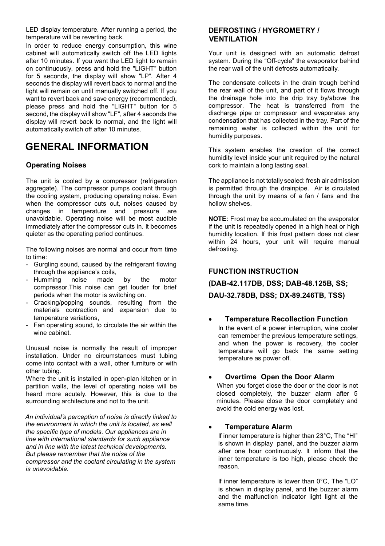LED display temperature. After running a period, the temperature will be reverting back.

In order to reduce energy consumption, this wine cabinet will automatically switch off the LED lights after 10 minutes. If you want the LED light to remain on continuously, press and hold the "LIGHT" button for 5 seconds, the display will show "LP". After 4 seconds the display will revert back to normal and the light will remain on until manually switched off. If you want to revert back and save energy (recommended), please press and hold the "LIGHT" button for 5 second, the display will show "LF", after 4 seconds the display will revert back to normal, and the light will automatically switch off after 10 minutes.

## **GENERAL INFORMATION**

#### **Operating Noises**

The unit is cooled by a compressor (refrigeration aggregate). The compressor pumps coolant through the cooling system, producing operating noise. Even when the compressor cuts out, noises caused by changes in temperature and pressure are unavoidable. Operating noise will be most audible immediately after the compressor cuts in. It becomes quieter as the operating period continues.

The following noises are normal and occur from time to time:

- Gurgling sound, caused by the refrigerant flowing through the appliance's coils,<br>Humming noise made
- Humming noise made by the motor compressor.This noise can get louder for brief periods when the motor is switching on.
- Cracking/popping sounds, resulting from the materials contraction and expansion due to temperature variations,
- Fan operating sound, to circulate the air within the wine cabinet

Unusual noise is normally the result of improper installation. Under no circumstances must tubing come into contact with a wall, other furniture or with other tubing.

Where the unit is installed in open-plan kitchen or in partition walls, the level of operating noise will be heard more acutely. However, this is due to the surrounding architecture and not to the unit.

*An individual's perception of noise is directly linked to the environment in which the unit is located, as well the specific type of models. Our appliances are in line with international standards for such appliance and in line with the latest technical developments. But please remember that the noise of the compressor and the coolant circulating in the system is unavoidable.* 

#### **DEFROSTING / HYGROMETRY / VENTILATION**

Your unit is designed with an automatic defrost system. During the "Off-cycle" the evaporator behind the rear wall of the unit defrosts automatically.

The condensate collects in the drain trough behind the rear wall of the unit, and part of it flows through the drainage hole into the drip tray by/above the compressor. The heat is transferred from the discharge pipe or compressor and evaporates any condensation that has collected in the tray. Part of the remaining water is collected within the unit for humidity purposes.

This system enables the creation of the correct humidity level inside your unit required by the natural cork to maintain a long lasting seal.

The appliance is not totally sealed: fresh air admission is permitted through the drainpipe. Air is circulated through the unit by means of a fan / fans and the hollow shelves.

**NOTE:** Frost may be accumulated on the evaporator if the unit is repeatedly opened in a high heat or high humidity location. If this frost pattern does not clear within 24 hours, your unit will require manual defrosting.

## **FUNCTION INSTRUCTION**

**(DAB-42.117DB, DSS; DAB-48.125B, SS; DAU-32.78DB, DSS; DX-89.246TB, TSS)**

#### • **Temperature Recollection Function** In the event of a power interruption, wine cooler can remember the previous temperature settings, and when the power is recovery, the cooler temperature will go back the same setting temperature as power off.

#### • **Overtime Open the Door Alarm**

When you forget close the door or the door is not closed completely, the buzzer alarm after 5 minutes. Please close the door completely and avoid the cold energy was lost.

#### • **Temperature Alarm**

If inner temperature is higher than 23°C, The "HI" is shown in display panel, and the buzzer alarm after one hour continuously. It inform that the inner temperature is too high, please check the reason.

If inner temperature is lower than 0°C, The "LO" is shown in display panel, and the buzzer alarm and the malfunction indicator light light at the same time.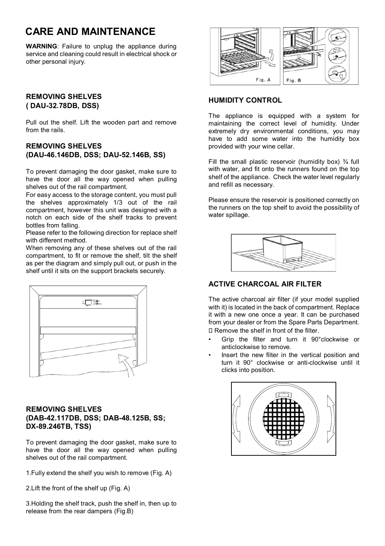## **CARE AND MAINTENANCE**

**WARNING**: Failure to unplug the appliance during service and cleaning could result in electrical shock or other personal injury.

### **REMOVING SHELVES ( DAU-32.78DB, DSS)**

Pull out the shelf. Lift the wooden part and remove from the rails.

### **REMOVING SHELVES (DAU-46.146DB, DSS; DAU-52.146B, SS)**

To prevent damaging the door gasket, make sure to have the door all the way opened when pulling shelves out of the rail compartment.

For easy access to the storage content, you must pull the shelves approximately 1/3 out of the rail compartment, however this unit was designed with a notch on each side of the shelf tracks to prevent bottles from falling.

Please refer to the following direction for replace shelf with different method.

When removing any of these shelves out of the rail compartment, to fit or remove the shelf, tilt the shelf as per the diagram and simply pull out, or push in the shelf until it sits on the support brackets securely.

| $\begin{picture}(20,5) \put(0,0){\line(1,0){10}} \put(15,0){\line(1,0){10}} \put(15,0){\line(1,0){10}} \put(15,0){\line(1,0){10}} \put(15,0){\line(1,0){10}} \put(15,0){\line(1,0){10}} \put(15,0){\line(1,0){10}} \put(15,0){\line(1,0){10}} \put(15,0){\line(1,0){10}} \put(15,0){\line(1,0){10}} \put(15,0){\line(1,0){10}} \put(15,0){\line(1,$ |  |
|-----------------------------------------------------------------------------------------------------------------------------------------------------------------------------------------------------------------------------------------------------------------------------------------------------------------------------------------------------|--|
|                                                                                                                                                                                                                                                                                                                                                     |  |
|                                                                                                                                                                                                                                                                                                                                                     |  |
|                                                                                                                                                                                                                                                                                                                                                     |  |
|                                                                                                                                                                                                                                                                                                                                                     |  |
|                                                                                                                                                                                                                                                                                                                                                     |  |
| -                                                                                                                                                                                                                                                                                                                                                   |  |
|                                                                                                                                                                                                                                                                                                                                                     |  |

#### **REMOVING SHELVES (DAB-42.117DB, DSS; DAB-48.125B, SS; DX-89.246TB, TSS)**

To prevent damaging the door gasket, make sure to have the door all the way opened when pulling shelves out of the rail compartment.

1.Fully extend the shelf you wish to remove (Fig. A)

2.Lift the front of the shelf up (Fig. A)

3.Holding the shelf track, push the shelf in, then up to release from the rear dampers (Fig.B)



## **HUMIDITY CONTROL**

The appliance is equipped with a system for maintaining the correct level of humidity. Under extremely dry environmental conditions, you may have to add some water into the humidity box provided with your wine cellar.

Fill the small plastic reservoir (humidity box)  $\frac{3}{4}$  full with water, and fit onto the runners found on the top shelf of the appliance. Check the water level regularly and refill as necessary.

Please ensure the reservoir is positioned correctly on the runners on the top shelf to avoid the possibility of water spillage.



## **ACTIVE CHARCOAL AIR FILTER**

The active charcoal air filter (if your model supplied with it) is located in the back of compartment. Replace it with a new one once a year. It can be purchased from your dealer or from the Spare Parts Department. Remove the shelf in front of the filter.

- Grip the filter and turn it 90°clockwise or anticlockwise to remove.
- Insert the new filter in the vertical position and turn it 90° clockwise or anti-clockwise until it clicks into position.

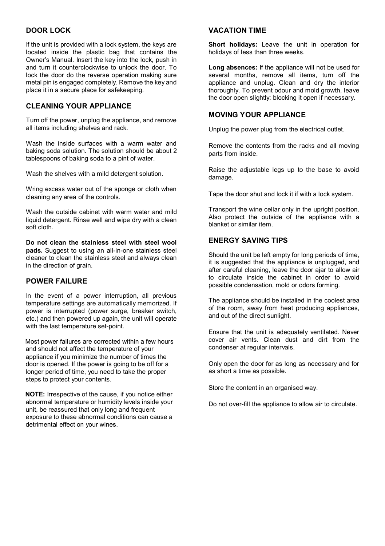#### **DOOR LOCK**

If the unit is provided with a lock system, the keys are located inside the plastic bag that contains the Owner's Manual. Insert the key into the lock, push in and turn it counterclockwise to unlock the door. To lock the door do the reverse operation making sure metal pin is engaged completely. Remove the key and place it in a secure place for safekeeping.

#### **CLEANING YOUR APPLIANCE**

Turn off the power, unplug the appliance, and remove all items including shelves and rack.

Wash the inside surfaces with a warm water and baking soda solution. The solution should be about 2 tablespoons of baking soda to a pint of water.

Wash the shelves with a mild detergent solution.

Wring excess water out of the sponge or cloth when cleaning any area of the controls.

Wash the outside cabinet with warm water and mild liquid detergent. Rinse well and wipe dry with a clean soft cloth.

**Do not clean the stainless steel with steel wool pads.** Suggest to using an all-in-one stainless steel cleaner to clean the stainless steel and always clean in the direction of grain.

#### **POWER FAILURE**

In the event of a power interruption, all previous temperature settings are automatically memorized. If power is interrupted (power surge, breaker switch, etc.) and then powered up again, the unit will operate with the last temperature set-point

Most power failures are corrected within a few hours and should not affect the temperature of your appliance if you minimize the number of times the door is opened. If the power is going to be off for a longer period of time, you need to take the proper steps to protect your contents.

**NOTE:** Irrespective of the cause, if you notice either abnormal temperature or humidity levels inside your unit, be reassured that only long and frequent exposure to these abnormal conditions can cause a detrimental effect on your wines.

#### **VACATION TIME**

**Short holidays:** Leave the unit in operation for holidays of less than three weeks.

**Long absences:** If the appliance will not be used for several months, remove all items, turn off the appliance and unplug. Clean and dry the interior thoroughly. To prevent odour and mold growth, leave the door open slightly: blocking it open if necessary.

#### **MOVING YOUR APPLIANCE**

Unplug the power plug from the electrical outlet.

Remove the contents from the racks and all moving parts from inside.

Raise the adjustable legs up to the base to avoid damage.

Tape the door shut and lock it if with a lock system.

Transport the wine cellar only in the upright position. Also protect the outside of the appliance with a blanket or similar item.

#### **ENERGY SAVING TIPS**

Should the unit be left empty for long periods of time, it is suggested that the appliance is unplugged, and after careful cleaning, leave the door ajar to allow air to circulate inside the cabinet in order to avoid possible condensation, mold or odors forming.

The appliance should be installed in the coolest area of the room, away from heat producing appliances, and out of the direct sunlight.

Ensure that the unit is adequately ventilated. Never cover air vents. Clean dust and dirt from the condenser at regular intervals.

Only open the door for as long as necessary and for as short a time as possible.

Store the content in an organised way.

Do not over-fill the appliance to allow air to circulate.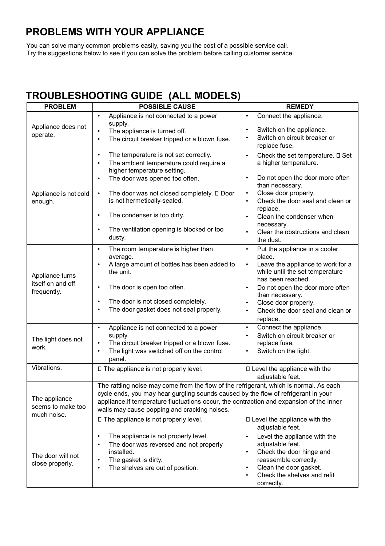## **PROBLEMS WITH YOUR APPLIANCE**

You can solve many common problems easily, saving you the cost of a possible service call. Try the suggestions below to see if you can solve the problem before calling customer service.

## **TROUBLESHOOTING GUIDE (ALL MODELS)**

| <b>PROBLEM</b>                                      | <b>POSSIBLE CAUSE</b>                                                                                                                                                                                                                                                                                                                                                                                      | <b>REMEDY</b>                                                                                                                                                                                                                                                                                                                                               |  |
|-----------------------------------------------------|------------------------------------------------------------------------------------------------------------------------------------------------------------------------------------------------------------------------------------------------------------------------------------------------------------------------------------------------------------------------------------------------------------|-------------------------------------------------------------------------------------------------------------------------------------------------------------------------------------------------------------------------------------------------------------------------------------------------------------------------------------------------------------|--|
| Appliance does not<br>operate.                      | Appliance is not connected to a power<br>$\bullet$<br>supply.<br>$\bullet$<br>The appliance is turned off.<br>The circuit breaker tripped or a blown fuse.<br>$\bullet$                                                                                                                                                                                                                                    | Connect the appliance.<br>$\bullet$<br>$\bullet$<br>Switch on the appliance.<br>Switch on circuit breaker or<br>$\bullet$<br>replace fuse.                                                                                                                                                                                                                  |  |
| Appliance is not cold<br>enough.                    | The temperature is not set correctly.<br>$\bullet$<br>The ambient temperature could require a<br>$\bullet$<br>higher temperature setting.<br>The door was opened too often.<br>$\bullet$<br>The door was not closed completely. $\square$ Door<br>$\bullet$<br>is not hermetically-sealed.<br>The condenser is too dirty.<br>$\bullet$<br>The ventilation opening is blocked or too<br>$\bullet$<br>dusty. | Check the set temperature. $\square$ Set<br>$\bullet$<br>a higher temperature.<br>$\bullet$<br>Do not open the door more often<br>than necessary.<br>$\bullet$<br>Close door properly.<br>Check the door seal and clean or<br>$\bullet$<br>replace.<br>Clean the condenser when<br>$\bullet$<br>necessary.<br>Clear the obstructions and clean<br>the dust. |  |
| Appliance turns<br>itself on and off<br>frequently. | The room temperature is higher than<br>$\bullet$<br>average.<br>$\bullet$<br>A large amount of bottles has been added to<br>the unit.<br>The door is open too often.<br>$\bullet$<br>The door is not closed completely.<br>$\bullet$<br>The door gasket does not seal properly.<br>$\bullet$                                                                                                               | Put the appliance in a cooler<br>$\bullet$<br>place.<br>Leave the appliance to work for a<br>$\bullet$<br>while until the set temperature<br>has been reached.<br>Do not open the door more often<br>$\bullet$<br>than necessary.<br>Close door properly.<br>$\bullet$<br>Check the door seal and clean or<br>$\bullet$<br>replace.                         |  |
| The light does not<br>work.                         | Appliance is not connected to a power<br>$\bullet$<br>supply.<br>The circuit breaker tripped or a blown fuse.<br>$\bullet$<br>The light was switched off on the control<br>$\bullet$<br>panel.                                                                                                                                                                                                             | Connect the appliance.<br>$\bullet$<br>$\bullet$<br>Switch on circuit breaker or<br>replace fuse.<br>Switch on the light.<br>$\bullet$                                                                                                                                                                                                                      |  |
| Vibrations.                                         | □ The appliance is not properly level.                                                                                                                                                                                                                                                                                                                                                                     | □ Level the appliance with the<br>adjustable feet.                                                                                                                                                                                                                                                                                                          |  |
| The appliance<br>seems to make too<br>much noise.   | The rattling noise may come from the flow of the refrigerant, which is normal. As each<br>cycle ends, you may hear gurgling sounds caused by the flow of refrigerant in your<br>appliance. If temperature fluctuations occur, the contraction and expansion of the inner<br>walls may cause popping and cracking noises.                                                                                   |                                                                                                                                                                                                                                                                                                                                                             |  |
|                                                     | □ The appliance is not properly level.                                                                                                                                                                                                                                                                                                                                                                     | □ Level the appliance with the<br>adjustable feet.                                                                                                                                                                                                                                                                                                          |  |
| The door will not<br>close properly.                | The appliance is not properly level.<br>$\bullet$<br>The door was reversed and not properly<br>$\bullet$<br>installed.<br>The gasket is dirty.<br>$\bullet$<br>The shelves are out of position.<br>$\bullet$                                                                                                                                                                                               | Level the appliance with the<br>$\bullet$<br>adjustable feet.<br>Check the door hinge and<br>$\bullet$<br>reassemble correctly.<br>Clean the door gasket.<br>$\bullet$<br>Check the shelves and refit<br>$\bullet$<br>correctly.                                                                                                                            |  |